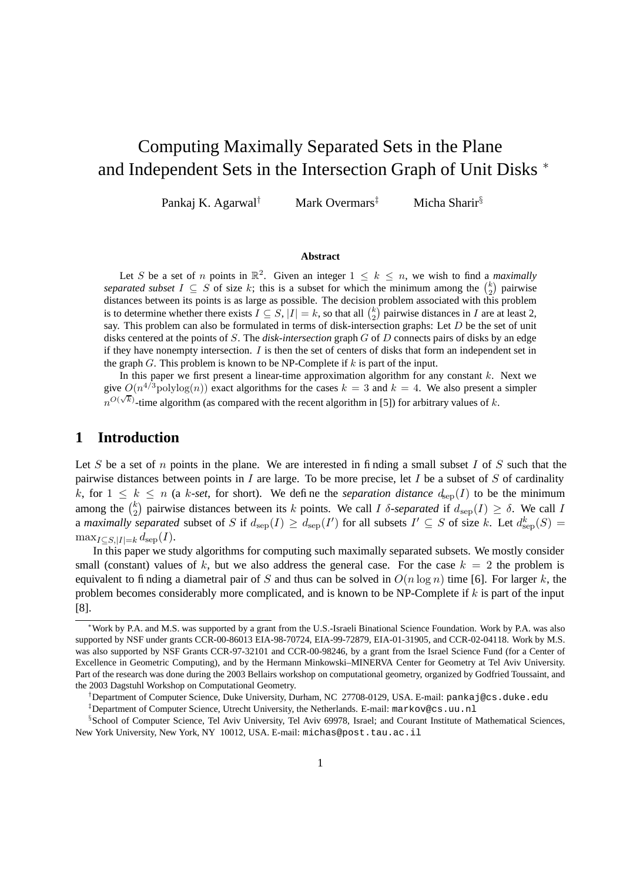# Computing Maximally Separated Sets in the Plane and Independent Sets in the Intersection Graph of Unit Disks <sup>∗</sup>

Pankaj K. Agarwal<sup>†</sup> Mark Overmars<sup>‡</sup> Micha Sharir<sup>§</sup>

#### **Abstract**

Let S be a set of n points in  $\mathbb{R}^2$ . Given an integer  $1 \leq k \leq n$ , we wish to find a *maximally separated subset*  $I \subseteq S$  of size k; this is a subset for which the minimum among the  $\binom{k}{2}$  pairwise distances between its points is as large as possible. The decision problem associated with this problem is to determine whether there exists  $I \subseteq S$ ,  $|I| = k$ , so that all  $\binom{k}{2}$  pairwise distances in I are at least 2, say. This problem can also be formulated in terms of disk-intersection graphs: Let  $D$  be the set of unit disks centered at the points of S. The *disk-intersection* graph G of D connects pairs of disks by an edge if they have nonempty intersection.  $I$  is then the set of centers of disks that form an independent set in the graph  $G$ . This problem is known to be NP-Complete if  $k$  is part of the input.

In this paper we first present a linear-time approximation algorithm for any constant  $k$ . Next we give  $O(n^{4/3} \text{polylog}(n))$  exact algorithms for the cases  $k = 3$  and  $k = 4$ . We also present a simpler  $n^{O(\sqrt{k})}$ -time algorithm (as compared with the recent algorithm in [5]) for arbitrary values of k.

## **1 Introduction**

Let S be a set of n points in the plane. We are interested in finding a small subset I of S such that the pairwise distances between points in I are large. To be more precise, let I be a subset of S of cardinality k, for  $1 \leq k \leq n$  (a k-set, for short). We define the *separation distance*  $d_{\text{sep}}(I)$  to be the minimum among the  $\binom{k}{2}$  $\binom{k}{2}$  pairwise distances between its k points. We call I  $\delta$ -separated if  $d_{\text{sep}}(I) \geq \delta$ . We call I a *maximally separated* subset of S if  $d_{\rm sep}(I) \geq d_{\rm sep}(I')$  for all subsets  $I' \subseteq S$  of size k. Let  $d_{\rm sep}^k(S) =$  $\max_{I\subseteq S,|I|=k} d_{\rm sep}(I).$ 

In this paper we study algorithms for computing such maximally separated subsets. We mostly consider small (constant) values of k, but we also address the general case. For the case  $k = 2$  the problem is equivalent to finding a diametral pair of S and thus can be solved in  $O(n \log n)$  time [6]. For larger k, the problem becomes considerably more complicated, and is known to be NP-Complete if  $k$  is part of the input [8].

<sup>∗</sup>Work by P.A. and M.S. was supported by a grant from the U.S.-Israeli Binational Science Foundation. Work by P.A. was also supported by NSF under grants CCR-00-86013 EIA-98-70724, EIA-99-72879, EIA-01-31905, and CCR-02-04118. Work by M.S. was also supported by NSF Grants CCR-97-32101 and CCR-00-98246, by a grant from the Israel Science Fund (for a Center of Excellence in Geometric Computing), and by the Hermann Minkowski–MINERVA Center for Geometry at Tel Aviv University. Part of the research was done during the 2003 Bellairs workshop on computational geometry, organized by Godfried Toussaint, and the 2003 Dagstuhl Workshop on Computational Geometry.

<sup>†</sup>Department of Computer Science, Duke University, Durham, NC 27708-0129, USA. E-mail: pankaj@cs.duke.edu

<sup>‡</sup>Department of Computer Science, Utrecht University, the Netherlands. E-mail: markov@cs.uu.nl

<sup>§</sup> School of Computer Science, Tel Aviv University, Tel Aviv 69978, Israel; and Courant Institute of Mathematical Sciences, New York University, New York, NY 10012, USA. E-mail: michas@post.tau.ac.il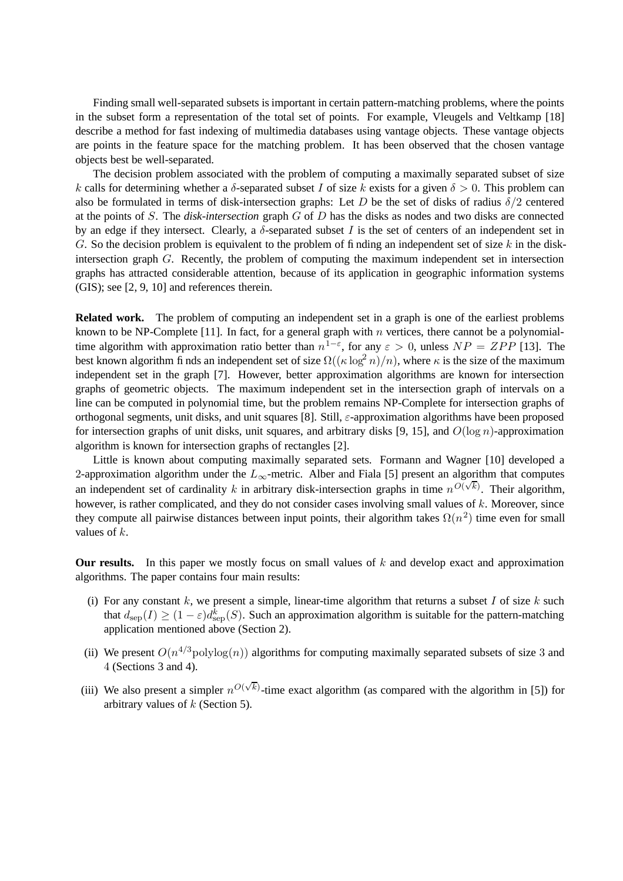Finding small well-separated subsets is important in certain pattern-matching problems, where the points in the subset form a representation of the total set of points. For example, Vleugels and Veltkamp [18] describe a method for fast indexing of multimedia databases using vantage objects. These vantage objects are points in the feature space for the matching problem. It has been observed that the chosen vantage objects best be well-separated.

The decision problem associated with the problem of computing a maximally separated subset of size k calls for determining whether a  $\delta$ -separated subset I of size k exists for a given  $\delta > 0$ . This problem can also be formulated in terms of disk-intersection graphs: Let D be the set of disks of radius  $\delta/2$  centered at the points of S. The *disk-intersection* graph G of D has the disks as nodes and two disks are connected by an edge if they intersect. Clearly, a  $\delta$ -separated subset I is the set of centers of an independent set in G. So the decision problem is equivalent to the problem of finding an independent set of size  $k$  in the diskintersection graph G. Recently, the problem of computing the maximum independent set in intersection graphs has attracted considerable attention, because of its application in geographic information systems (GIS); see [2, 9, 10] and references therein.

**Related work.** The problem of computing an independent set in a graph is one of the earliest problems known to be NP-Complete  $[11]$ . In fact, for a general graph with n vertices, there cannot be a polynomialtime algorithm with approximation ratio better than  $n^{1-\epsilon}$ , for any  $\varepsilon > 0$ , unless  $NP = ZPP$  [13]. The best known algorithm finds an independent set of size  $\Omega((\kappa \log^2 n)/n)$ , where  $\kappa$  is the size of the maximum independent set in the graph [7]. However, better approximation algorithms are known for intersection graphs of geometric objects. The maximum independent set in the intersection graph of intervals on a line can be computed in polynomial time, but the problem remains NP-Complete for intersection graphs of orthogonal segments, unit disks, and unit squares [8]. Still, ε-approximation algorithms have been proposed for intersection graphs of unit disks, unit squares, and arbitrary disks [9, 15], and  $O(\log n)$ -approximation algorithm is known for intersection graphs of rectangles [2].

Little is known about computing maximally separated sets. Formann and Wagner [10] developed a 2-approximation algorithm under the  $L_{\infty}$ -metric. Alber and Fiala [5] present an algorithm that computes an independent set of cardinality k in arbitrary disk-intersection graphs in time  $n^{O(\sqrt{k})}$ . Their algorithm, however, is rather complicated, and they do not consider cases involving small values of k. Moreover, since they compute all pairwise distances between input points, their algorithm takes  $\Omega(n^2)$  time even for small values of k.

**Our results.** In this paper we mostly focus on small values of k and develop exact and approximation algorithms. The paper contains four main results:

- (i) For any constant k, we present a simple, linear-time algorithm that returns a subset  $I$  of size  $k$  such that  $d_{\rm sep}(I) \ge (1 - \varepsilon)d_{\rm sep}^k(S)$ . Such an approximation algorithm is suitable for the pattern-matching application mentioned above (Section 2).
- (ii) We present  $O(n^{4/3} \text{polylog}(n))$  algorithms for computing maximally separated subsets of size 3 and 4 (Sections 3 and 4).
- (iii) We also present a simpler  $n^{O(\sqrt{k})}$ -time exact algorithm (as compared with the algorithm in [5]) for arbitrary values of  $k$  (Section 5).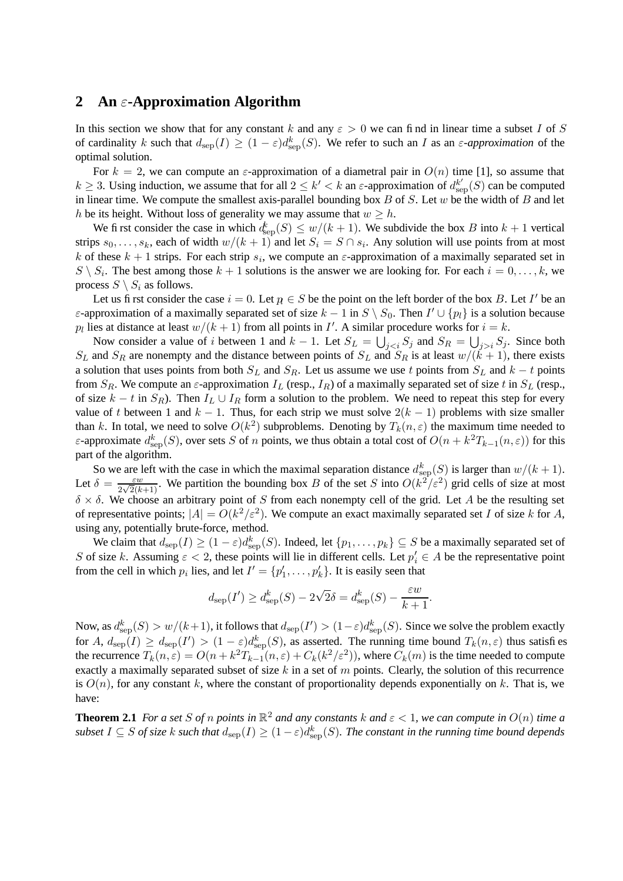### **2 An** ε**-Approximation Algorithm**

In this section we show that for any constant k and any  $\varepsilon > 0$  we can find in linear time a subset I of S of cardinality k such that  $d_{\rm sep}(I) \ge (1 - \varepsilon)d_{\rm sep}^k(S)$ . We refer to such an I as an  $\varepsilon$ -approximation of the optimal solution.

For  $k = 2$ , we can compute an  $\varepsilon$ -approximation of a diametral pair in  $O(n)$  time [1], so assume that  $k \ge 3$ . Using induction, we assume that for all  $2 \le k' < k$  an  $\varepsilon$ -approximation of  $d_{\text{sep}}^{k'}(S)$  can be computed in linear time. We compute the smallest axis-parallel bounding box  $B$  of  $S$ . Let  $w$  be the width of  $B$  and let h be its height. Without loss of generality we may assume that  $w > h$ .

We first consider the case in which  $d_{\text{sep}}^k(S) \leq w/(k+1)$ . We subdivide the box B into  $k+1$  vertical strips  $s_0, \ldots, s_k$ , each of width  $w/(k+1)$  and let  $S_i = S \cap s_i$ . Any solution will use points from at most k of these  $k + 1$  strips. For each strip  $s_i$ , we compute an  $\varepsilon$ -approximation of a maximally separated set in  $S \setminus S_i$ . The best among those  $k + 1$  solutions is the answer we are looking for. For each  $i = 0, \ldots, k$ , we process  $S \setminus S_i$  as follows.

Let us first consider the case  $i = 0$ . Let  $p \in S$  be the point on the left border of the box B. Let I' be an  $\varepsilon$ -approximation of a maximally separated set of size  $k-1$  in  $S \setminus S_0$ . Then  $I' \cup \{p_l\}$  is a solution because  $p_l$  lies at distance at least  $w/(k+1)$  from all points in  $I'$ . A similar procedure works for  $i = k$ .

Now consider a value of i between 1 and  $k-1$ . Let  $S_L = \bigcup_{j < i} S_j$  and  $S_R = \bigcup_{j > i} S_j$ . Since both  $S_L$  and  $S_R$  are nonempty and the distance between points of  $S_L$  and  $S_R$  is at least  $w/(\tilde{k} + 1)$ , there exists a solution that uses points from both  $S_L$  and  $S_R$ . Let us assume we use t points from  $S_L$  and  $k - t$  points from  $S_R$ . We compute an  $\varepsilon$ -approximation  $I_L$  (resp.,  $I_R$ ) of a maximally separated set of size t in  $S_L$  (resp., of size  $k - t$  in  $S_R$ ). Then  $I_L \cup I_R$  form a solution to the problem. We need to repeat this step for every value of t between 1 and  $k - 1$ . Thus, for each strip we must solve  $2(k - 1)$  problems with size smaller than k. In total, we need to solve  $O(k^2)$  subproblems. Denoting by  $T_k(n, \varepsilon)$  the maximum time needed to  $\varepsilon$ -approximate  $d_{\text{sep}}^k(S)$ , over sets S of n points, we thus obtain a total cost of  $O(n + k^2T_{k-1}(n, \varepsilon))$  for this part of the algorithm.

So we are left with the case in which the maximal separation distance  $d_{\text{sep}}^k(S)$  is larger than  $w/(k+1)$ . Let  $\delta = \frac{\varepsilon w}{2\sqrt{2}}$  $\frac{\varepsilon w}{2\sqrt{2}(k+1)}$ . We partition the bounding box B of the set S into  $O(k^2/\varepsilon^2)$  grid cells of size at most  $\delta \times \delta$ . We choose an arbitrary point of S from each nonempty cell of the grid. Let A be the resulting set of representative points;  $|A| = O(k^2/\varepsilon^2)$ . We compute an exact maximally separated set I of size k for A, using any, potentially brute-force, method.

We claim that  $d_{\rm sep}(I) \ge (1 - \varepsilon)d_{\rm sep}^k(S)$ . Indeed, let  $\{p_1, \ldots, p_k\} \subseteq S$  be a maximally separated set of S of size k. Assuming  $\varepsilon < 2$ , these points will lie in different cells. Let  $p'_i \in A$  be the representative point from the cell in which  $p_i$  lies, and let  $I' = \{p'_1, \ldots, p'_k\}$ . It is easily seen that

$$
d_{\rm sep}(I') \ge d_{\rm sep}^k(S) - 2\sqrt{2}\delta = d_{\rm sep}^k(S) - \frac{\varepsilon w}{k+1}.
$$

Now, as  $d_{\text{sep}}^k(S) > w/(k+1)$ , it follows that  $d_{\text{sep}}(I') > (1-\varepsilon)d_{\text{sep}}^k(S)$ . Since we solve the problem exactly for A,  $d_{\rm sep}(I) \geq d_{\rm sep}(I') > (1 - \varepsilon)d_{\rm sep}^k(S)$ , as asserted. The running time bound  $T_k(n, \varepsilon)$  thus satisfies the recurrence  $T_k(n,\varepsilon) = O(n + k^2 T_{k-1}(n,\varepsilon) + C_k(k^2/\varepsilon^2))$ , where  $C_k(m)$  is the time needed to compute exactly a maximally separated subset of size  $k$  in a set of  $m$  points. Clearly, the solution of this recurrence is  $O(n)$ , for any constant k, where the constant of proportionality depends exponentially on k. That is, we have:

**Theorem 2.1** For a set S of n points in  $\mathbb{R}^2$  and any constants k and  $\varepsilon < 1$ , we can compute in  $O(n)$  time a  $s$ ubset  $I \subseteq S$  of size  $k$  such that  $d_{\rm sep}(I) \geq (1-\varepsilon)d_{\rm sep}^k(S)$ . The constant in the running time bound depends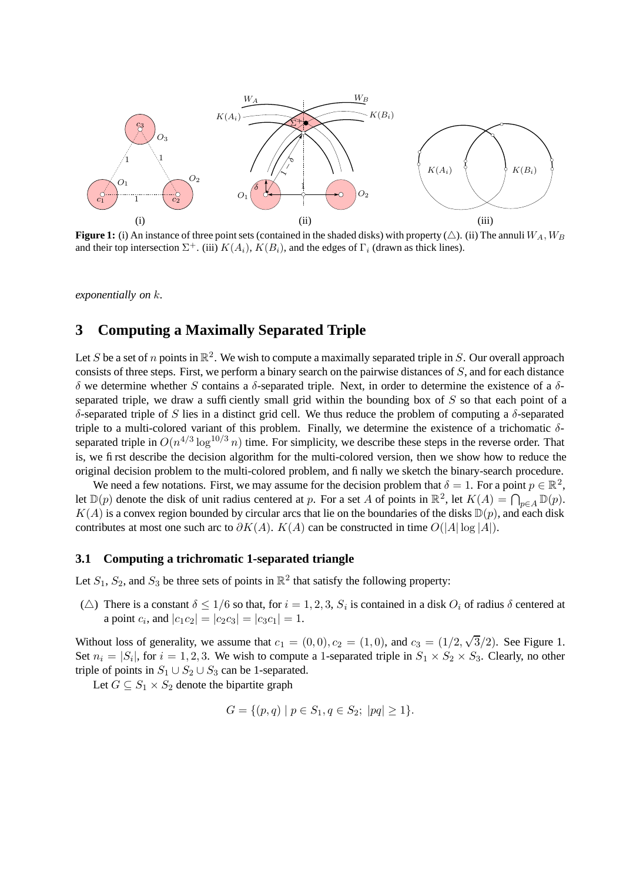

**Figure 1:** (i) An instance of three point sets (contained in the shaded disks) with property ( $\triangle$ ). (ii) The annuli  $W_A$ ,  $W_B$ and their top intersection  $\Sigma^+$ . (iii)  $K(A_i)$ ,  $K(B_i)$ , and the edges of  $\Gamma_i$  (drawn as thick lines).

*exponentially on* k*.*

# **3 Computing a Maximally Separated Triple**

Let S be a set of n points in  $\mathbb{R}^2$ . We wish to compute a maximally separated triple in S. Our overall approach consists of three steps. First, we perform a binary search on the pairwise distances of S, and for each distance δ we determine whether S contains a δ-separated triple. Next, in order to determine the existence of a δseparated triple, we draw a sufficiently small grid within the bounding box of  $S$  so that each point of a δ-separated triple of S lies in a distinct grid cell. We thus reduce the problem of computing a δ-separated triple to a multi-colored variant of this problem. Finally, we determine the existence of a trichomatic  $\delta$ separated triple in  $O(n^{4/3} \log^{10/3} n)$  time. For simplicity, we describe these steps in the reverse order. That is, we first describe the decision algorithm for the multi-colored version, then we show how to reduce the original decision problem to the multi-colored problem, and finally we sketch the binary-search procedure.

We need a few notations. First, we may assume for the decision problem that  $\delta = 1$ . For a point  $p \in \mathbb{R}^2$ , let  $\mathbb{D}(p)$  denote the disk of unit radius centered at p. For a set A of points in  $\mathbb{R}^2$ , let  $K(A) = \bigcap_{p \in A} \mathbb{D}(p)$ .  $K(A)$  is a convex region bounded by circular arcs that lie on the boundaries of the disks  $\mathbb{D}(p)$ , and each disk contributes at most one such arc to  $\partial K(A)$ .  $K(A)$  can be constructed in time  $O(|A| \log |A|)$ .

#### **3.1 Computing a trichromatic 1-separated triangle**

Let  $S_1$ ,  $S_2$ , and  $S_3$  be three sets of points in  $\mathbb{R}^2$  that satisfy the following property:

( $\triangle$ ) There is a constant  $\delta \leq 1/6$  so that, for  $i = 1, 2, 3, S_i$  is contained in a disk  $O_i$  of radius  $\delta$  centered at a point  $c_i$ , and  $|c_1c_2| = |c_2c_3| = |c_3c_1| = 1$ .

Without loss of generality, we assume that  $c_1 = (0,0), c_2 = (1,0)$ , and  $c_3 = (1/2, \sqrt{3}/2)$ . See Figure 1. Set  $n_i = |S_i|$ , for  $i = 1, 2, 3$ . We wish to compute a 1-separated triple in  $S_1 \times S_2 \times S_3$ . Clearly, no other triple of points in  $S_1 \cup S_2 \cup S_3$  can be 1-separated.

Let  $G \subseteq S_1 \times S_2$  denote the bipartite graph

$$
G = \{ (p, q) \mid p \in S_1, q \in S_2; \ |pq| \ge 1 \}.
$$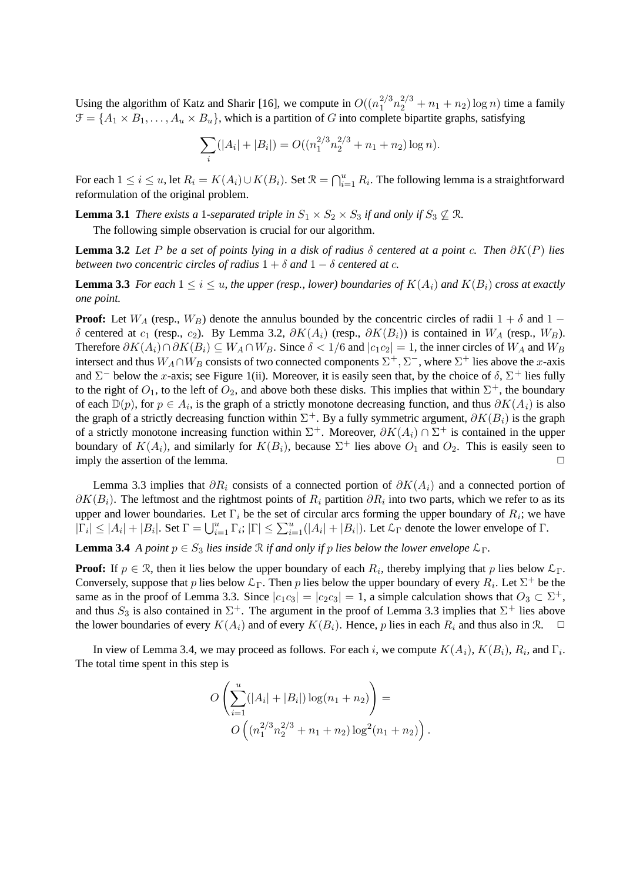Using the algorithm of Katz and Sharir [16], we compute in  $O((n_1^{2/3}n_2^{2/3} + n_1 + n_2) \log n)$  time a family  $\mathcal{F} = \{A_1 \times B_1, \ldots, A_u \times B_u\}$ , which is a partition of G into complete bipartite graphs, satisfying

$$
\sum_{i}(|A_i|+|B_i|) = O((n_1^{2/3}n_2^{2/3}+n_1+n_2)\log n).
$$

For each  $1 \le i \le u$ , let  $R_i = K(A_i) \cup K(B_i)$ . Set  $\mathcal{R} = \bigcap_{i=1}^u R_i$ . The following lemma is a straightforward reformulation of the original problem.

**Lemma 3.1** *There exists a* 1-separated triple in  $S_1 \times S_2 \times S_3$  *if and only if*  $S_3 \nsubseteq \mathbb{R}$ *.* 

The following simple observation is crucial for our algorithm.

**Lemma 3.2** Let P be a set of points lying in a disk of radius  $\delta$  centered at a point c. Then  $\partial K(P)$  lies *between two concentric circles of radius*  $1 + \delta$  *and*  $1 - \delta$  *centered at c.* 

**Lemma 3.3** For each  $1 \leq i \leq u$ , the upper (resp., lower) boundaries of  $K(A_i)$  and  $K(B_i)$  cross at exactly *one point.*

**Proof:** Let  $W_A$  (resp.,  $W_B$ ) denote the annulus bounded by the concentric circles of radii  $1 + \delta$  and  $1$ δ centered at  $c_1$  (resp.,  $c_2$ ). By Lemma 3.2,  $\partial K(A_i)$  (resp.,  $\partial K(B_i)$ ) is contained in W<sub>A</sub> (resp., W<sub>B</sub>). Therefore  $\partial K(A_i) \cap \partial K(B_i) \subseteq W_A \cap W_B$ . Since  $\delta < 1/6$  and  $|c_1c_2| = 1$ , the inner circles of  $W_A$  and  $W_B$ intersect and thus  $W_A \cap W_B$  consists of two connected components  $\Sigma^+, \Sigma^-$ , where  $\Sigma^+$  lies above the x-axis and  $\Sigma^-$  below the x-axis; see Figure 1(ii). Moreover, it is easily seen that, by the choice of  $\delta$ ,  $\Sigma^+$  lies fully to the right of  $O_1$ , to the left of  $O_2$ , and above both these disks. This implies that within  $\Sigma^+$ , the boundary of each  $\mathbb{D}(p)$ , for  $p \in A_i$ , is the graph of a strictly monotone decreasing function, and thus  $\partial K(A_i)$  is also the graph of a strictly decreasing function within  $\Sigma^+$ . By a fully symmetric argument,  $\partial K(B_i)$  is the graph of a strictly monotone increasing function within  $\Sigma^+$ . Moreover,  $\partial K(A_i) \cap \Sigma^+$  is contained in the upper boundary of  $K(A_i)$ , and similarly for  $K(B_i)$ , because  $\Sigma^+$  lies above  $O_1$  and  $O_2$ . This is easily seen to imply the assertion of the lemma.  $\Box$ 

Lemma 3.3 implies that  $\partial R_i$  consists of a connected portion of  $\partial K(A_i)$  and a connected portion of  $\partial K(B_i)$ . The leftmost and the rightmost points of  $R_i$  partition  $\partial R_i$  into two parts, which we refer to as its upper and lower boundaries. Let  $\Gamma_i$  be the set of circular arcs forming the upper boundary of  $R_i$ ; we have  $|\Gamma_i| \leq |A_i| + |B_i|$ . Set  $\Gamma = \bigcup_{i=1}^u \Gamma_i$ ;  $|\Gamma| \leq \sum_{i=1}^u (|A_i| + |B_i|)$ . Let  $\mathcal{L}_{\Gamma}$  denote the lower envelope of  $\Gamma$ .

**Lemma 3.4** *A point*  $p \in S_3$  *lies inside*  $\Re$  *if and only if*  $p$  *lies below the lower envelope*  $\mathcal{L}_{\Gamma}$ *.* 

**Proof:** If  $p \in \mathcal{R}$ , then it lies below the upper boundary of each  $R_i$ , thereby implying that p lies below  $\mathcal{L}_{\Gamma}$ . Conversely, suppose that p lies below  $\mathcal{L}_{\Gamma}$ . Then p lies below the upper boundary of every  $R_i$ . Let  $\Sigma^+$  be the same as in the proof of Lemma 3.3. Since  $|c_1c_3| = |c_2c_3| = 1$ , a simple calculation shows that  $O_3 \subset \Sigma^+$ , and thus  $S_3$  is also contained in  $\Sigma^+$ . The argument in the proof of Lemma 3.3 implies that  $\Sigma^+$  lies above the lower boundaries of every  $K(A_i)$  and of every  $K(B_i)$ . Hence, p lies in each  $R_i$  and thus also in R.  $\Box$ 

In view of Lemma 3.4, we may proceed as follows. For each i, we compute  $K(A_i)$ ,  $K(B_i)$ ,  $R_i$ , and  $\Gamma_i$ . The total time spent in this step is

$$
O\left(\sum_{i=1}^{u}(|A_i|+|B_i|)\log(n_1+n_2)\right)=
$$
  

$$
O\left((n_1^{2/3}n_2^{2/3}+n_1+n_2)\log^2(n_1+n_2)\right).
$$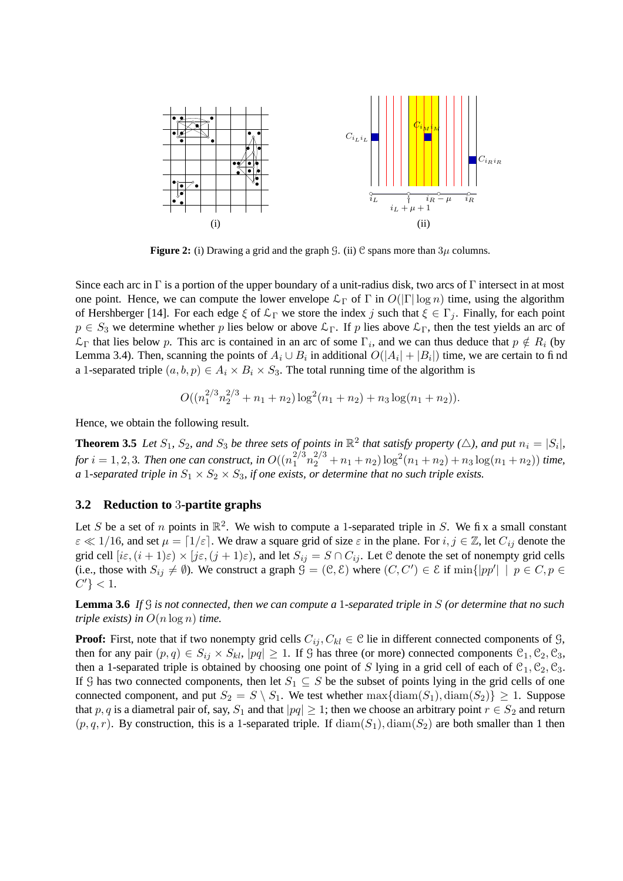

**Figure 2:** (i) Drawing a grid and the graph G. (ii) C spans more than  $3\mu$  columns.

Since each arc in Γ is a portion of the upper boundary of a unit-radius disk, two arcs of Γ intersect in at most one point. Hence, we can compute the lower envelope  $\mathcal{L}_{\Gamma}$  of  $\Gamma$  in  $O(|\Gamma| \log n)$  time, using the algorithm of Hershberger [14]. For each edge  $\xi$  of  $\mathcal{L}_{\Gamma}$  we store the index j such that  $\xi \in \Gamma_i$ . Finally, for each point  $p \in S_3$  we determine whether p lies below or above  $\mathcal{L}_{\Gamma}$ . If p lies above  $\mathcal{L}_{\Gamma}$ , then the test yields an arc of  $\mathcal{L}_{\Gamma}$  that lies below p. This arc is contained in an arc of some  $\Gamma_i$ , and we can thus deduce that  $p \notin R_i$  (by Lemma 3.4). Then, scanning the points of  $A_i \cup B_i$  in additional  $O(|A_i| + |B_i|)$  time, we are certain to find a 1-separated triple  $(a, b, p) \in A_i \times B_i \times S_3$ . The total running time of the algorithm is

$$
O((n_1^{2/3}n_2^{2/3} + n_1 + n_2) \log^2(n_1 + n_2) + n_3 \log(n_1 + n_2)).
$$

Hence, we obtain the following result.

**Theorem 3.5** Let  $S_1$ ,  $S_2$ , and  $S_3$  be three sets of points in  $\mathbb{R}^2$  that satisfy property ( $\triangle$ ), and put  $n_i = |S_i|$ , *for*  $i = 1, 2, 3$ . *Then one can construct, in*  $O((n_1^{2/3}n_2^{2/3} + n_1 + n_2) \log^2(n_1 + n_2) + n_3 \log(n_1 + n_2))$  *time, a* 1-separated triple in  $S_1 \times S_2 \times S_3$ , if one exists, or determine that no such triple exists.

#### **3.2 Reduction to** 3**-partite graphs**

Let S be a set of n points in  $\mathbb{R}^2$ . We wish to compute a 1-separated triple in S. We fix a small constant  $\varepsilon \ll 1/16$ , and set  $\mu = [1/\varepsilon]$ . We draw a square grid of size  $\varepsilon$  in the plane. For  $i, j \in \mathbb{Z}$ , let  $C_{ij}$  denote the grid cell  $[i\varepsilon,(i+1)\varepsilon) \times [j\varepsilon,(j+1)\varepsilon)$ , and let  $S_{ij} = S \cap C_{ij}$ . Let C denote the set of nonempty grid cells (i.e., those with  $S_{ij} \neq \emptyset$ ). We construct a graph  $\Theta = (\mathcal{C}, \mathcal{E})$  where  $(C, C') \in \mathcal{E}$  if  $\min\{|pp'| \mid p \in C, p \in \mathcal{E}|$  $C'$ } < 1.

**Lemma 3.6** If  $\mathcal{G}$  is not connected, then we can compute a 1-separated triple in S (or determine that no such *triple exists) in*  $O(n \log n)$  *time.* 

**Proof:** First, note that if two nonempty grid cells  $C_{ij}$ ,  $C_{kl} \in \mathcal{C}$  lie in different connected components of  $\mathcal{G}$ , then for any pair  $(p, q) \in S_{ij} \times S_{kl}$ ,  $|pq| \ge 1$ . If G has three (or more) connected components  $\mathcal{C}_1, \mathcal{C}_2, \mathcal{C}_3$ , then a 1-separated triple is obtained by choosing one point of S lying in a grid cell of each of  $C_1, C_2, C_3$ . If G has two connected components, then let  $S_1 \subseteq S$  be the subset of points lying in the grid cells of one connected component, and put  $S_2 = S \setminus S_1$ . We test whether  $\max{\{ \text{diam}(S_1), \text{diam}(S_2) \}} \geq 1$ . Suppose that p, q is a diametral pair of, say, S<sub>1</sub> and that  $|pq| \geq 1$ ; then we choose an arbitrary point  $r \in S_2$  and return  $(p, q, r)$ . By construction, this is a 1-separated triple. If  $\text{diam}(S_1)$ ,  $\text{diam}(S_2)$  are both smaller than 1 then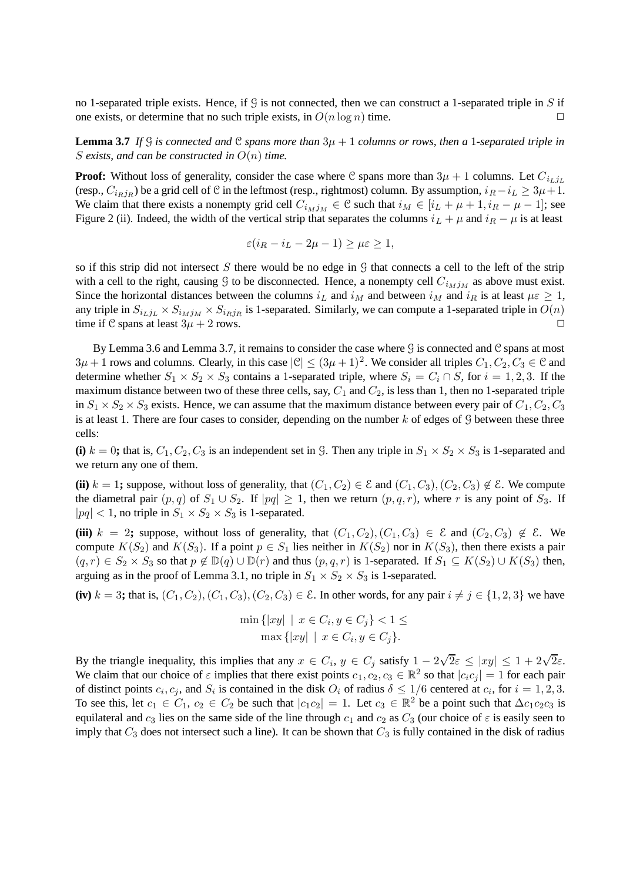no 1-separated triple exists. Hence, if  $G$  is not connected, then we can construct a 1-separated triple in  $S$  if one exists, or determine that no such triple exists, in  $O(n \log n)$  time.

**Lemma** 3.7 If G is connected and C spans more than  $3\mu + 1$  columns or rows, then a 1-separated triple in S *exists, and can be constructed in* O(n) *time.*

**Proof:** Without loss of generality, consider the case where C spans more than  $3\mu + 1$  columns. Let  $C_{i_L j_L}$ (resp.,  $C_{i_R j_R}$ ) be a grid cell of C in the leftmost (resp., rightmost) column. By assumption,  $i_R - i_L \ge 3\mu + 1$ . We claim that there exists a nonempty grid cell  $C_{i_M j_M} \in \mathcal{C}$  such that  $i_M \in [i_L + \mu + 1, i_R - \mu - 1]$ ; see Figure 2 (ii). Indeed, the width of the vertical strip that separates the columns  $i_L + \mu$  and  $i_R - \mu$  is at least

$$
\varepsilon(i_R - i_L - 2\mu - 1) \ge \mu \varepsilon \ge 1,
$$

so if this strip did not intersect S there would be no edge in  $\mathcal G$  that connects a cell to the left of the strip with a cell to the right, causing G to be disconnected. Hence, a nonempty cell  $C_{i_M j_M}$  as above must exist. Since the horizontal distances between the columns  $i_L$  and  $i_M$  and between  $i_M$  and  $i_R$  is at least  $\mu \varepsilon \geq 1$ , any triple in  $S_{i_L j_L} \times S_{i_M j_M} \times S_{i_R j_R}$  is 1-separated. Similarly, we can compute a 1-separated triple in  $O(n)$ time if C spans at least  $3\mu + 2$  rows.

By Lemma 3.6 and Lemma 3.7, it remains to consider the case where G is connected and C spans at most  $3\mu + 1$  rows and columns. Clearly, in this case  $|\mathcal{C}| \le (3\mu + 1)^2$ . We consider all triples  $C_1, C_2, C_3 \in \mathcal{C}$  and determine whether  $S_1 \times S_2 \times S_3$  contains a 1-separated triple, where  $S_i = C_i \cap S$ , for  $i = 1, 2, 3$ . If the maximum distance between two of these three cells, say,  $C_1$  and  $C_2$ , is less than 1, then no 1-separated triple in  $S_1 \times S_2 \times S_3$  exists. Hence, we can assume that the maximum distance between every pair of  $C_1, C_2, C_3$ is at least 1. There are four cases to consider, depending on the number  $k$  of edges of  $\mathcal G$  between these three cells:

(i)  $k = 0$ ; that is,  $C_1, C_2, C_3$  is an independent set in G. Then any triple in  $S_1 \times S_2 \times S_3$  is 1-separated and we return any one of them.

(ii)  $k = 1$ ; suppose, without loss of generality, that  $(C_1, C_2) \in \mathcal{E}$  and  $(C_1, C_3)$ ,  $(C_2, C_3) \notin \mathcal{E}$ . We compute the diametral pair  $(p, q)$  of  $S_1 \cup S_2$ . If  $|pq| \ge 1$ , then we return  $(p, q, r)$ , where r is any point of  $S_3$ . If  $|pq| < 1$ , no triple in  $S_1 \times S_2 \times S_3$  is 1-separated.

(iii)  $k = 2$ ; suppose, without loss of generality, that  $(C_1, C_2), (C_1, C_3) \in \mathcal{E}$  and  $(C_2, C_3) \notin \mathcal{E}$ . We compute  $K(S_2)$  and  $K(S_3)$ . If a point  $p \in S_1$  lies neither in  $K(S_2)$  nor in  $K(S_3)$ , then there exists a pair  $(q, r) \in S_2 \times S_3$  so that  $p \notin \mathbb{D}(q) \cup \mathbb{D}(r)$  and thus  $(p, q, r)$  is 1-separated. If  $S_1 \subseteq K(S_2) \cup K(S_3)$  then, arguing as in the proof of Lemma 3.1, no triple in  $S_1 \times S_2 \times S_3$  is 1-separated.

(iv)  $k = 3$ ; that is,  $(C_1, C_2)$ ,  $(C_1, C_3)$ ,  $(C_2, C_3) \in \mathcal{E}$ . In other words, for any pair  $i \neq j \in \{1, 2, 3\}$  we have

$$
\min\{|xy| \mid x \in C_i, y \in C_j\} < 1 \leq \\
\max\{|xy| \mid x \in C_i, y \in C_j\}.
$$

By the triangle inequality, this implies that any  $x \in C_i$ ,  $y \in C_j$  satisfy  $1 - 2\sqrt{2\varepsilon} \le |xy| \le 1 + 2\sqrt{2\varepsilon}$ . We claim that our choice of  $\varepsilon$  implies that there exist points  $c_1, c_2, c_3 \in \mathbb{R}^2$  so that  $|c_i c_j| = 1$  for each pair of distinct points  $c_i, c_j$ , and  $S_i$  is contained in the disk  $O_i$  of radius  $\delta \leq 1/6$  centered at  $c_i$ , for  $i = 1, 2, 3$ . To see this, let  $c_1 \in C_1$ ,  $c_2 \in C_2$  be such that  $|c_1c_2| = 1$ . Let  $c_3 \in \mathbb{R}^2$  be a point such that  $\Delta c_1c_2c_3$  is equilateral and  $c_3$  lies on the same side of the line through  $c_1$  and  $c_2$  as  $C_3$  (our choice of  $\varepsilon$  is easily seen to imply that  $C_3$  does not intersect such a line). It can be shown that  $C_3$  is fully contained in the disk of radius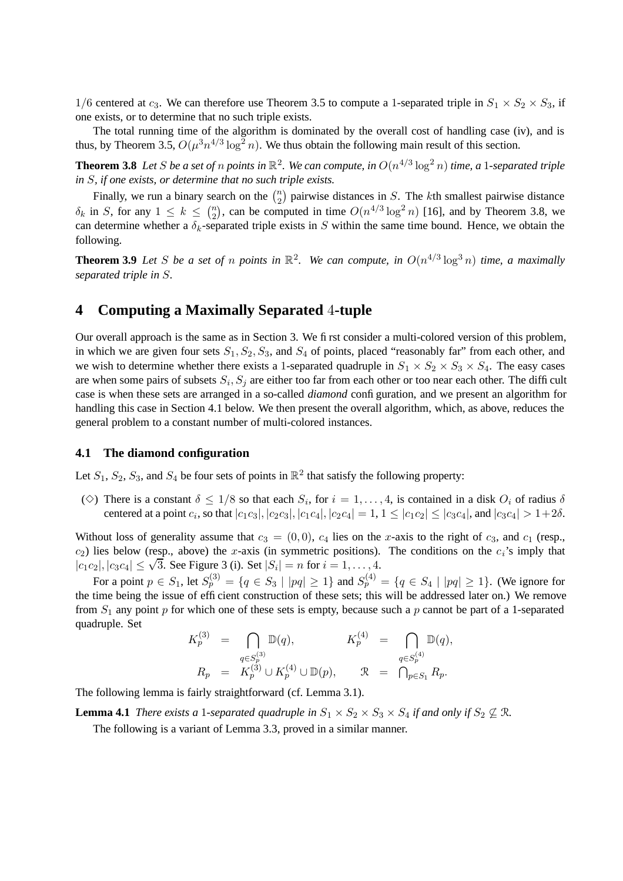1/6 centered at  $c_3$ . We can therefore use Theorem 3.5 to compute a 1-separated triple in  $S_1 \times S_2 \times S_3$ , if one exists, or to determine that no such triple exists.

The total running time of the algorithm is dominated by the overall cost of handling case (iv), and is thus, by Theorem 3.5,  $O(\mu^3 n^{4/3} \log^2 n)$ . We thus obtain the following main result of this section.

**Theorem 3.8** Let S be a set of n points in  $\mathbb{R}^2$ . We can compute, in  $O(n^{4/3} \log^2 n)$  time, a 1-separated triple *in* S*, if one exists, or determine that no such triple exists.*

Finally, we run a binary search on the  $\binom{n}{2}$  $n_2$ ) pairwise distances in S. The kth smallest pairwise distance  $\delta_k$  in S, for any  $1 \leq k \leq {n \choose 2}$  $n_2$ ), can be computed in time  $O(n^{4/3} \log^2 n)$  [16], and by Theorem 3.8, we can determine whether a  $\delta_k$ -separated triple exists in S within the same time bound. Hence, we obtain the following.

**Theorem 3.9** Let S be a set of n points in  $\mathbb{R}^2$ . We can compute, in  $O(n^{4/3} \log^3 n)$  time, a maximally *separated triple in* S*.*

## **4 Computing a Maximally Separated** 4**-tuple**

Our overall approach is the same as in Section 3. We first consider a multi-colored version of this problem, in which we are given four sets  $S_1, S_2, S_3$ , and  $S_4$  of points, placed "reasonably far" from each other, and we wish to determine whether there exists a 1-separated quadruple in  $S_1 \times S_2 \times S_3 \times S_4$ . The easy cases are when some pairs of subsets  $S_i, S_j$  are either too far from each other or too near each other. The difficult case is when these sets are arranged in a so-called *diamond* configuration, and we present an algorithm for handling this case in Section 4.1 below. We then present the overall algorithm, which, as above, reduces the general problem to a constant number of multi-colored instances.

#### **4.1 The diamond configuration**

Let  $S_1$ ,  $S_2$ ,  $S_3$ , and  $S_4$  be four sets of points in  $\mathbb{R}^2$  that satisfy the following property:

( $\Diamond$ ) There is a constant  $\delta \leq 1/8$  so that each  $S_i$ , for  $i = 1, ..., 4$ , is contained in a disk  $O_i$  of radius  $\delta$ centered at a point  $c_i$ , so that  $|c_1c_3|, |c_2c_3|, |c_1c_4|, |c_2c_4| = 1, 1 \leq |c_1c_2| \leq |c_3c_4|$ , and  $|c_3c_4| > 1+2\delta$ .

Without loss of generality assume that  $c_3 = (0, 0)$ ,  $c_4$  lies on the x-axis to the right of  $c_3$ , and  $c_1$  (resp.,  $c_2$ ) lies below (resp., above) the x-axis (in symmetric positions). The conditions on the  $c_i$ 's imply that  $|c_1c_2|, |c_3c_4| \le \sqrt{3}$ . See Figure 3 (i). Set  $|S_i| = n$  for  $i = 1, ..., 4$ .

For a point  $p \in S_1$ , let  $S_p^{(3)} = \{q \in S_3 \mid |pq| \ge 1\}$  and  $S_p^{(4)} = \{q \in S_4 \mid |pq| \ge 1\}$ . (We ignore for the time being the issue of efficient construction of these sets; this will be addressed later on.) We remove from  $S_1$  any point p for which one of these sets is empty, because such a p cannot be part of a 1-separated quadruple. Set

$$
K_p^{(3)} = \bigcap_{q \in S_p^{(3)}} \mathbb{D}(q), \qquad K_p^{(4)} = \bigcap_{q \in S_p^{(4)}} \mathbb{D}(q),
$$
  
\n
$$
R_p = K_p^{(3)} \cup K_p^{(4)} \cup \mathbb{D}(p), \qquad \mathcal{R} = \bigcap_{p \in S_1} R_p.
$$

The following lemma is fairly straightforward (cf. Lemma 3.1).

**Lemma 4.1** *There exists a* 1*-separated quadruple in*  $S_1 \times S_2 \times S_3 \times S_4$  *if and only if*  $S_2 \nsubseteq \mathbb{R}$ *.* 

The following is a variant of Lemma 3.3, proved in a similar manner.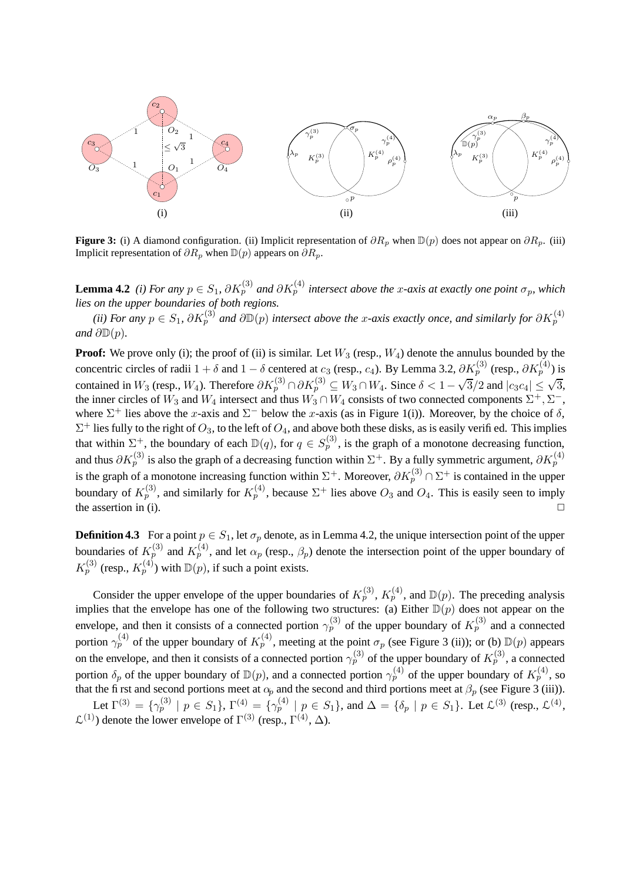

**Figure 3:** (i) A diamond configuration. (ii) Implicit representation of  $\partial R_p$  when  $\mathbb{D}(p)$  does not appear on  $\partial R_p$ . (iii) Implicit representation of  $\partial R_p$  when  $\mathbb{D}(p)$  appears on  $\partial R_p$ .

**Lemma 4.2** (i) For any  $p \in S_1$ ,  $\partial K_p^{(3)}$  and  $\partial K_p^{(4)}$  intersect above the x-axis at exactly one point  $\sigma_p$ , which *lies on the upper boundaries of both regions.*

*(ii)* For any  $p \in S_1$ ,  $\partial K_p^{(3)}$  and  $\partial \mathbb{D}(p)$  intersect above the x-axis exactly once, and similarly for  $\partial K_p^{(4)}$ *and*  $\partial \mathbb{D}(p)$ *.* 

**Proof:** We prove only (i); the proof of (ii) is similar. Let  $W_3$  (resp.,  $W_4$ ) denote the annulus bounded by the concentric circles of radii  $1 + \delta$  and  $1 - \delta$  centered at  $c_3$  (resp.,  $c_4$ ). By Lemma 3.2,  $\partial K_p^{(3)}$  (resp.,  $\partial K_p^{(4)}$ ) is contained in  $W_3$  (resp.,  $W_4$ ). Therefore  $\partial K_p^{(3)} \cap \partial K_p^{(3)} \subseteq W_3 \cap W_4$ . Since  $\delta < 1 - \sqrt{3}/2$  and  $|c_3c_4| \leq \sqrt{3}$ , the inner circles of  $W_3$  and  $W_4$  intersect and thus  $W_3 \cap W_4$  consists of two connected components  $\Sigma^+, \Sigma^-,$ where  $\Sigma^+$  lies above the x-axis and  $\Sigma^-$  below the x-axis (as in Figure 1(i)). Moreover, by the choice of  $\delta$ ,  $\Sigma^+$  lies fully to the right of  $O_3$ , to the left of  $O_4$ , and above both these disks, as is easily verified. This implies that within  $\Sigma^+$ , the boundary of each  $\mathbb{D}(q)$ , for  $q \in S_p^{(3)}$ , is the graph of a monotone decreasing function, and thus  $\partial K_p^{(3)}$  is also the graph of a decreasing function within  $\Sigma^+$ . By a fully symmetric argument,  $\partial K_p^{(4)}$ is the graph of a monotone increasing function within  $\Sigma^+$ . Moreover,  $\partial K_p^{(3)} \cap \Sigma^+$  is contained in the upper boundary of  $K_p^{(3)}$ , and similarly for  $K_p^{(4)}$ , because  $\Sigma^+$  lies above  $O_3$  and  $O_4$ . This is easily seen to imply the assertion in (i).

**Definition 4.3** For a point  $p \in S_1$ , let  $\sigma_p$  denote, as in Lemma 4.2, the unique intersection point of the upper boundaries of  $K_p^{(3)}$  and  $K_p^{(4)}$ , and let  $\alpha_p$  (resp.,  $\beta_p$ ) denote the intersection point of the upper boundary of  $K_p^{(3)}$  (resp.,  $K_p^{(4)}$ ) with  $\mathbb{D}(p)$ , if such a point exists.

Consider the upper envelope of the upper boundaries of  $K_p^{(3)}$ ,  $K_p^{(4)}$ , and  $\mathbb{D}(p)$ . The preceding analysis implies that the envelope has one of the following two structures: (a) Either  $\mathbb{D}(p)$  does not appear on the envelope, and then it consists of a connected portion  $\gamma_p^{(3)}$  of the upper boundary of  $K_p^{(3)}$  and a connected portion  $\gamma_p^{(4)}$  of the upper boundary of  $K_p^{(4)}$ , meeting at the point  $\sigma_p$  (see Figure 3 (ii)); or (b)  $D(p)$  appears on the envelope, and then it consists of a connected portion  $\gamma_p^{(3)}$  of the upper boundary of  $K_p^{(3)}$ , a connected portion  $\delta_p$  of the upper boundary of  $\mathbb{D}(p)$ , and a connected portion  $\gamma_p^{(4)}$  of the upper boundary of  $K_p^{(4)}$ , so that the first and second portions meet at  $\alpha_p$  and the second and third portions meet at  $\beta_p$  (see Figure 3 (iii)).

Let  $\Gamma^{(3)} = \{ \gamma_p^{(3)} \mid p \in S_1 \}, \Gamma^{(4)} = \{ \gamma_p^{(4)} \mid p \in S_1 \}, \text{ and } \Delta = \{ \delta_p \mid p \in S_1 \}.$  Let  $\mathcal{L}^{(3)}$  (resp.,  $\mathcal{L}^{(4)}$ ,  $\mathcal{L}^{(1)}$ ) denote the lower envelope of  $\Gamma^{(3)}$  (resp.,  $\Gamma^{(4)}$ ,  $\Delta$ ).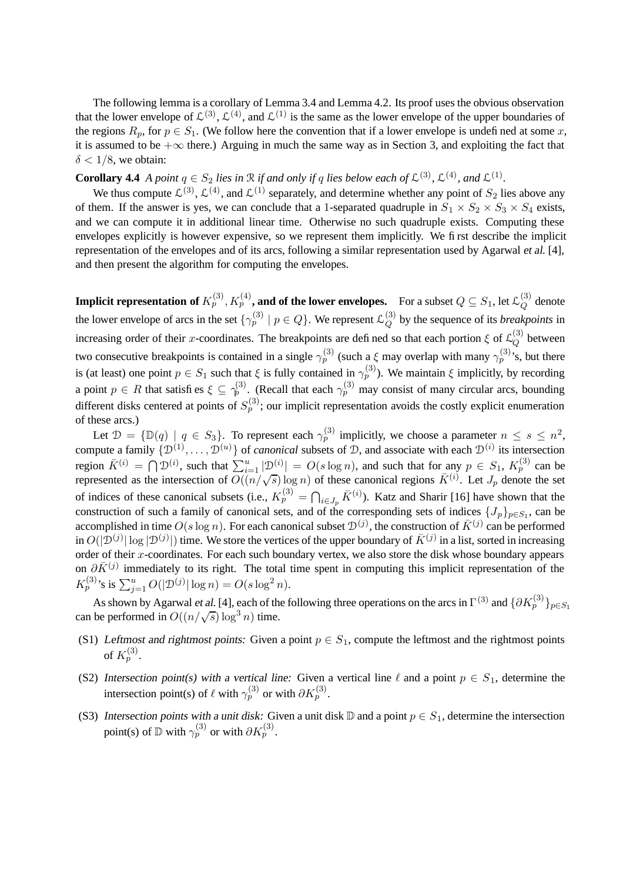The following lemma is a corollary of Lemma 3.4 and Lemma 4.2. Its proof uses the obvious observation that the lower envelope of  $\mathcal{L}^{(3)}$ ,  $\mathcal{L}^{(4)}$ , and  $\mathcal{L}^{(1)}$  is the same as the lower envelope of the upper boundaries of the regions  $R_p$ , for  $p \in S_1$ . (We follow here the convention that if a lower envelope is undefined at some x, it is assumed to be  $+\infty$  there.) Arguing in much the same way as in Section 3, and exploiting the fact that  $\delta$  < 1/8, we obtain:

**Corollary 4.4** A point  $q \in S_2$  lies in R if and only if q lies below each of  $\mathcal{L}^{(3)}$ ,  $\mathcal{L}^{(4)}$ , and  $\mathcal{L}^{(1)}$ .

We thus compute  $\mathcal{L}^{(3)}$ ,  $\mathcal{L}^{(4)}$ , and  $\mathcal{L}^{(1)}$  separately, and determine whether any point of  $S_2$  lies above any of them. If the answer is yes, we can conclude that a 1-separated quadruple in  $S_1 \times S_2 \times S_3 \times S_4$  exists, and we can compute it in additional linear time. Otherwise no such quadruple exists. Computing these envelopes explicitly is however expensive, so we represent them implicitly. We first describe the implicit representation of the envelopes and of its arcs, following a similar representation used by Agarwal et al. [4], and then present the algorithm for computing the envelopes.

**Implicit representation of**  $K_p^{(3)}, K_p^{(4)}$ , and of the lower envelopes. For a subset  $Q \subseteq S_1$ , let  $\mathcal{L}_Q^{(3)}$  $Q^{\left(5\right)}$  denote the lower envelope of arcs in the set  $\{\gamma_p^{(3)} \mid p \in Q\}$ . We represent  $\mathcal{L}_Q^{(3)}$  $_{Q}^{(5)}$  by the sequence of its *breakpoints* in increasing order of their x-coordinates. The breakpoints are defined so that each portion  $\xi$  of  $\mathcal{L}_O^{(3)}$  $Q^{(3)}$  between two consecutive breakpoints is contained in a single  $\gamma_p^{(3)}$  (such a  $\xi$  may overlap with many  $\gamma_p^{(3)}$ 's, but there is (at least) one point  $p \in S_1$  such that  $\xi$  is fully contained in  $\gamma_p^{(3)}$ ). We maintain  $\xi$  implicitly, by recording a point  $p \in R$  that satisfies  $\xi \subseteq \gamma_p^{(3)}$ . (Recall that each  $\gamma_p^{(3)}$  may consist of many circular arcs, bounding different disks centered at points of  $S_p^{(3)}$ ; our implicit representation avoids the costly explicit enumeration of these arcs.)

Let  $\mathcal{D} = \{ \mathbb{D}(q) \mid q \in S_3 \}$ . To represent each  $\gamma_p^{(3)}$  implicitly, we choose a parameter  $n \leq s \leq n^2$ , compute a family  $\{\mathcal{D}^{(1)}, \ldots, \mathcal{D}^{(u)}\}$  of *canonical* subsets of D, and associate with each  $\mathcal{D}^{(i)}$  its intersection region  $\bar{K}^{(i)} = \bigcap \mathcal{D}^{(i)}$ , such that  $\sum_{i=1}^{u} |\mathcal{D}^{(i)}| = O(s \log n)$ , and such that for any  $p \in S_1$ ,  $K_p^{(3)}$  can be represented as the intersection of  $\overline{O((n/\sqrt{s})} \log n)$  of these canonical regions  $\overline{K}^{(i)}$ . Let  $J_p$  denote the set of indices of these canonical subsets (i.e.,  $K_p^{(3)} = \bigcap_{i \in J_p} \bar{K}^{(i)}$ ). Katz and Sharir [16] have shown that the construction of such a family of canonical sets, and of the corresponding sets of indices  $\{J_p\}_{p\in S_1}$ , can be accomplished in time  $O(s \log n)$ . For each canonical subset  $\mathcal{D}^{(j)}$ , the construction of  $\bar{K}^{(j)}$  can be performed in  $O(|\mathcal{D}^{(j)}| \log |\mathcal{D}^{(j)}|)$  time. We store the vertices of the upper boundary of  $\bar{K}^{(j)}$  in a list, sorted in increasing order of their x-coordinates. For each such boundary vertex, we also store the disk whose boundary appears on  $\partial \bar{K}^{(j)}$  immediately to its right. The total time spent in computing this implicit representation of the  $K_p^{(3)}$ 's is  $\sum_{j=1}^u O(|\mathcal{D}^{(j)}| \log n) = O(s \log^2 n)$ .

As shown by Agarwal et al. [4], each of the following three operations on the arcs in  $\Gamma^{(3)}$  and  $\{\partial K_p^{(3)}\}_{p\in S_1}$ can be performed in  $O((n/\sqrt{s})\log^3 n)$  time.

- (S1) Leftmost and rightmost points: Given a point  $p \in S_1$ , compute the leftmost and the rightmost points of  $K_p^{(3)}$ .
- (S2) Intersection point(s) with a vertical line: Given a vertical line  $\ell$  and a point  $p \in S_1$ , determine the intersection point(s) of  $\ell$  with  $\gamma_p^{(3)}$  or with  $\partial K_p^{(3)}$ .
- (S3) Intersection points with a unit disk: Given a unit disk D and a point  $p \in S_1$ , determine the intersection point(s) of  $\mathbb D$  with  $\gamma_p^{(3)}$  or with  $\partial K_p^{(3)}$ .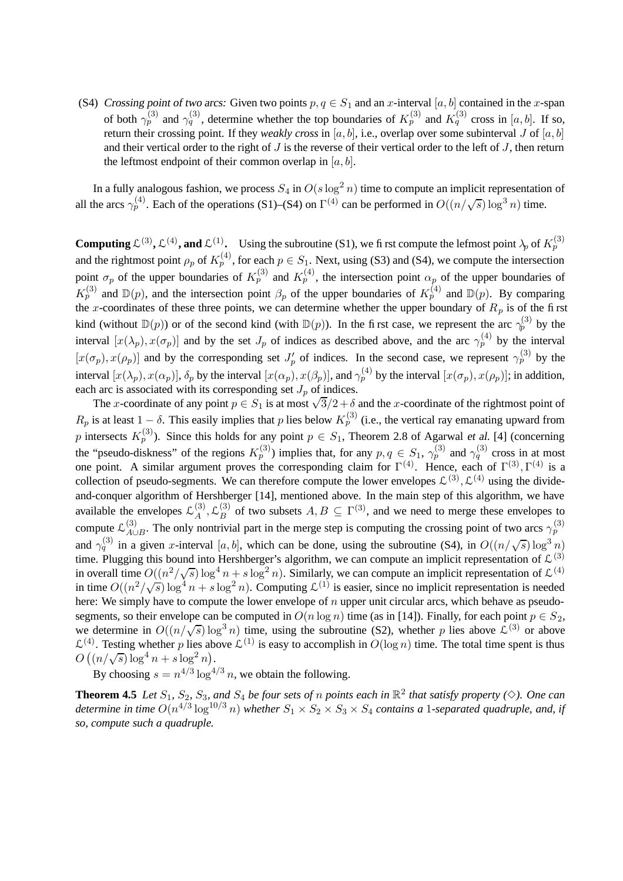(S4) Crossing point of two arcs: Given two points  $p, q \in S_1$  and an x-interval [a, b] contained in the x-span of both  $\gamma_p^{(3)}$  and  $\gamma_q^{(3)}$ , determine whether the top boundaries of  $K_p^{(3)}$  and  $K_q^{(3)}$  cross in [a, b]. If so, return their crossing point. If they *weakly cross* in [a, b], i.e., overlap over some subinterval J of [a, b] and their vertical order to the right of  $J$  is the reverse of their vertical order to the left of  $J$ , then return the leftmost endpoint of their common overlap in  $[a, b]$ .

In a fully analogous fashion, we process  $S_4$  in  $O(s \log^2 n)$  time to compute an implicit representation of all the arcs  $\gamma_p^{(4)}$ . Each of the operations (S1)–(S4) on  $\Gamma^{(4)}$  can be performed in  $O((n/\sqrt{s}) \log^3 n)$  time.

**Computing**  $\mathcal{L}^{(3)}$ ,  $\mathcal{L}^{(4)}$ , and  $\mathcal{L}^{(1)}$ . Using the subroutine (S1), we first compute the lefmost point  $\lambda_p$  of  $K_p^{(3)}$ and the rightmost point  $\rho_p$  of  $K_p^{(4)}$ , for each  $p \in S_1$ . Next, using (S3) and (S4), we compute the intersection point  $\sigma_p$  of the upper boundaries of  $K_p^{(3)}$  and  $K_p^{(4)}$ , the intersection point  $\alpha_p$  of the upper boundaries of  $K_p^{(3)}$  and  $\mathbb{D}(p)$ , and the intersection point  $\beta_p$  of the upper boundaries of  $K_p^{(4)}$  and  $\mathbb{D}(p)$ . By comparing the x-coordinates of these three points, we can determine whether the upper boundary of  $R_p$  is of the first kind (without  $\mathbb{D}(p)$ ) or of the second kind (with  $\mathbb{D}(p)$ ). In the first case, we represent the arc  $\gamma_p^{(3)}$  by the interval  $[x(\lambda_p), x(\sigma_p)]$  and by the set  $J_p$  of indices as described above, and the arc  $\gamma_p^{(4)}$  by the interval  $[x(\sigma_p), x(\rho_p)]$  and by the corresponding set  $J_p'$  of indices. In the second case, we represent  $\gamma_p^{(3)}$  by the interval  $[x(\lambda_p), x(\alpha_p)], \delta_p$  by the interval  $[x(\alpha_p), x(\beta_p)]$ , and  $\gamma_p^{(4)}$  by the interval  $[x(\sigma_p), x(\rho_p)]$ ; in addition, each arc is associated with its corresponding set  $J_p$  of indices.

The x-coordinate of any point  $p \in S_1$  is at most  $\sqrt{3}/2+\delta$  and the x-coordinate of the rightmost point of  $R_p$  is at least  $1 - \delta$ . This easily implies that p lies below  $K_p^{(3)}$  (i.e., the vertical ray emanating upward from p intersects  $K_p^{(3)}$ ). Since this holds for any point  $p \in S_1$ , Theorem 2.8 of Agarwal et al. [4] (concerning the "pseudo-diskness" of the regions  $K_p^{(3)}$ ) implies that, for any  $p, q \in S_1$ ,  $\gamma_p^{(3)}$  and  $\gamma_q^{(3)}$  cross in at most one point. A similar argument proves the corresponding claim for  $\Gamma^{(4)}$ . Hence, each of  $\Gamma^{(3)}$ ,  $\Gamma^{(4)}$  is a collection of pseudo-segments. We can therefore compute the lower envelopes  $\mathcal{L}^{(3)}$ ,  $\mathcal{L}^{(4)}$  using the divideand-conquer algorithm of Hershberger [14], mentioned above. In the main step of this algorithm, we have available the envelopes  $\mathcal{L}_{A}^{(3)}$  $\mathcal{L}_A^{(3)}, \mathcal{L}_B^{(3)}$  $\mathbb{B}^{(3)}$  of two subsets  $A, B \subseteq \Gamma^{(3)}$ , and we need to merge these envelopes to compute  $\mathcal{L}_{A}^{(3)}$ <sup>(3)</sup> The only nontrivial part in the merge step is computing the crossing point of two arcs  $\gamma_p^{(3)}$ and  $\gamma_q^{(3)}$  in a given x-interval [a, b], which can be done, using the subroutine (S4), in  $O((n/\sqrt{s})\log^3 n)$ time. Plugging this bound into Hershberger's algorithm, we can compute an implicit representation of  $\mathcal{L}^{(3)}$ in overall time  $O((n^2/\sqrt{s})\log^4 n + s\log^2 n)$ . Similarly, we can compute an implicit representation of  $\mathcal{L}^{(4)}$ in time  $O((n^2/\sqrt{s})\log^4 n + s\log^2 n)$ . Computing  $\mathcal{L}^{(1)}$  is easier, since no implicit representation is needed here: We simply have to compute the lower envelope of n upper unit circular arcs, which behave as pseudosegments, so their envelope can be computed in  $O(n \log n)$  time (as in [14]). Finally, for each point  $p \in S_2$ , we determine in  $O((n/\sqrt{s})\log^3 n)$  time, using the subroutine (S2), whether p lies above  $\mathcal{L}^{(3)}$  or above  $\mathcal{L}^{(4)}$ . Testing whether p lies above  $\mathcal{L}^{(1)}$  is easy to accomplish in  $O(\log n)$  time. The total time spent is thus  $O((n/\sqrt{s})\log^4 n + s\log^2 n).$ 

By choosing  $s = n^{4/3} \log^{4/3} n$ , we obtain the following.

**Theorem 4.5** Let  $S_1$ ,  $S_2$ ,  $S_3$ , and  $S_4$  be four sets of n points each in  $\mathbb{R}^2$  that satisfy property ( $\diamond$ ). One can determine in time  $O(n^{4/3} \log^{10/3} n)$  whether  $S_1 \times S_2 \times S_3 \times S_4$  contains a 1-separated quadruple, and, if *so, compute such a quadruple.*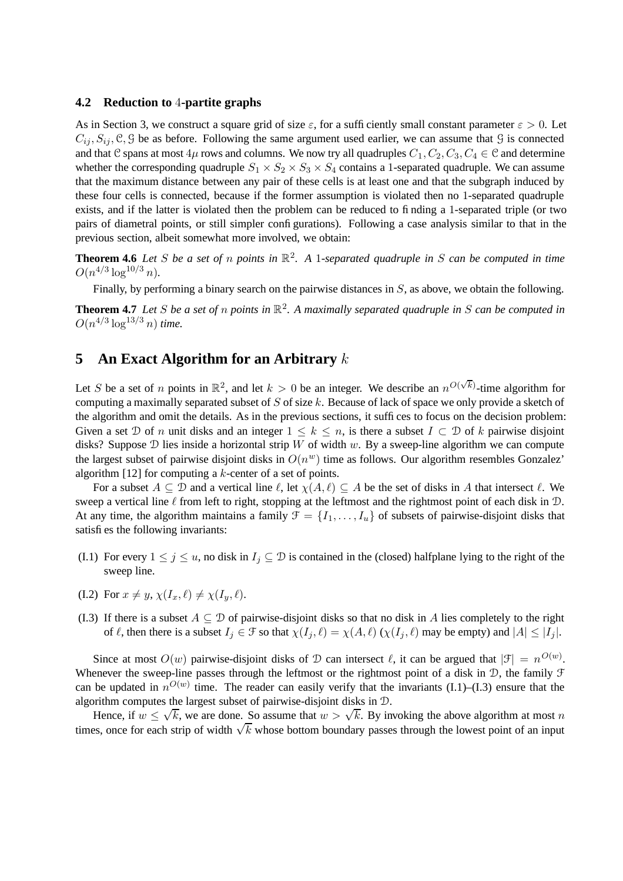#### **4.2 Reduction to** 4**-partite graphs**

As in Section 3, we construct a square grid of size  $\varepsilon$ , for a sufficiently small constant parameter  $\varepsilon > 0$ . Let  $C_{ij}$ ,  $S_{ij}$ ,  $\mathcal{C}$ ,  $\mathcal{G}$  be as before. Following the same argument used earlier, we can assume that  $\mathcal{G}$  is connected and that C spans at most  $4\mu$  rows and columns. We now try all quadruples  $C_1, C_2, C_3, C_4 \in \mathcal{C}$  and determine whether the corresponding quadruple  $S_1 \times S_2 \times S_3 \times S_4$  contains a 1-separated quadruple. We can assume that the maximum distance between any pair of these cells is at least one and that the subgraph induced by these four cells is connected, because if the former assumption is violated then no 1-separated quadruple exists, and if the latter is violated then the problem can be reduced to finding a 1-separated triple (or two pairs of diametral points, or still simpler configurations). Following a case analysis similar to that in the previous section, albeit somewhat more involved, we obtain:

**Theorem 4.6** Let S be a set of n points in  $\mathbb{R}^2$ . A 1-separated quadruple in S can be computed in time  $O(n^{4/3} \log^{10/3} n)$ .

Finally, by performing a binary search on the pairwise distances in S, as above, we obtain the following.

**Theorem 4.7** Let S be a set of n points in  $\mathbb{R}^2$ . A maximally separated quadruple in S can be computed in  $O(n^{4/3} \log^{13/3} n)$  time.

## **5 An Exact Algorithm for an Arbitrary** k

Let S be a set of n points in  $\mathbb{R}^2$ , and let  $k > 0$  be an integer. We describe an  $n^{O(\sqrt{k})}$ -time algorithm for computing a maximally separated subset of  $S$  of size  $k$ . Because of lack of space we only provide a sketch of the algorithm and omit the details. As in the previous sections, it suffices to focus on the decision problem: Given a set  $D$  of n unit disks and an integer  $1 \leq k \leq n$ , is there a subset  $I \subset D$  of k pairwise disjoint disks? Suppose  $D$  lies inside a horizontal strip W of width w. By a sweep-line algorithm we can compute the largest subset of pairwise disjoint disks in  $O(n^w)$  time as follows. Our algorithm resembles Gonzalez' algorithm [12] for computing a  $k$ -center of a set of points.

For a subset  $A \subseteq \mathcal{D}$  and a vertical line  $\ell$ , let  $\chi(A, \ell) \subseteq A$  be the set of disks in A that intersect  $\ell$ . We sweep a vertical line  $\ell$  from left to right, stopping at the leftmost and the rightmost point of each disk in D. At any time, the algorithm maintains a family  $\mathcal{F} = \{I_1, \ldots, I_u\}$  of subsets of pairwise-disjoint disks that satisfies the following invariants:

- (I.1) For every  $1 \le j \le u$ , no disk in  $I_j \subseteq \mathcal{D}$  is contained in the (closed) halfplane lying to the right of the sweep line.
- (I.2) For  $x \neq y$ ,  $\chi(I_x, \ell) \neq \chi(I_y, \ell)$ .
- (I.3) If there is a subset  $A \subseteq \mathcal{D}$  of pairwise-disjoint disks so that no disk in A lies completely to the right of  $\ell$ , then there is a subset  $I_j \in \mathcal{F}$  so that  $\chi(I_j, \ell) = \chi(A, \ell)$  ( $\chi(I_j, \ell)$ ) may be empty) and  $|A| \leq |I_j|$ .

Since at most  $O(w)$  pairwise-disjoint disks of  $D$  can intersect  $\ell$ , it can be argued that  $|\mathcal{F}| = n^{O(w)}$ . Whenever the sweep-line passes through the leftmost or the rightmost point of a disk in  $D$ , the family  $\mathcal F$ can be updated in  $n^{O(w)}$  time. The reader can easily verify that the invariants (I.1)–(I.3) ensure that the algorithm computes the largest subset of pairwise-disjoint disks in D.

Hence, if  $w \le \sqrt{k}$ , we are done. So assume that  $w > \sqrt{k}$ . By invoking the above algorithm at most n times, once for each strip of width  $\sqrt{k}$  whose bottom boundary passes through the lowest point of an input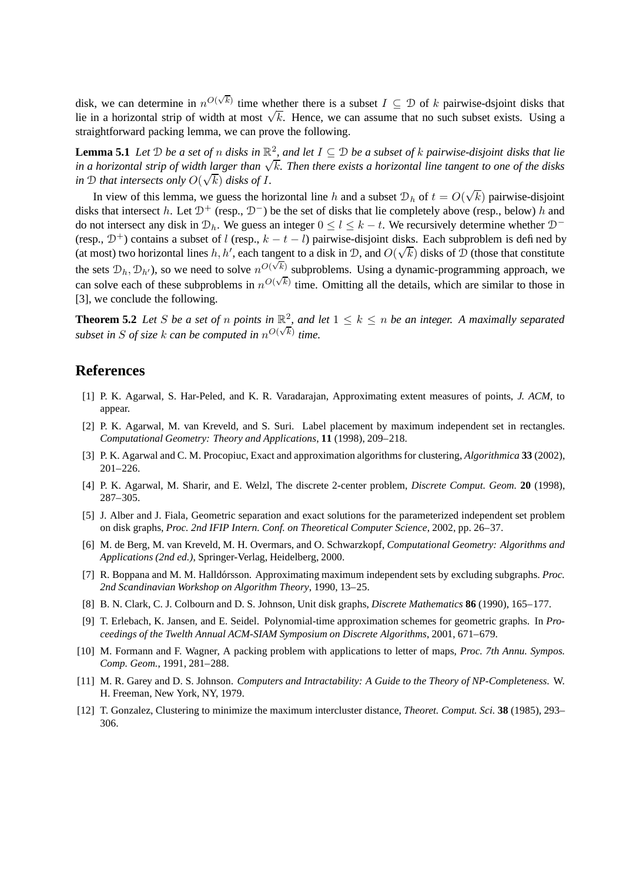disk, we can determine in  $n^{O(\sqrt{k})}$  time whether there is a subset  $I \subseteq \mathcal{D}$  of k pairwise-dsjoint disks that lie in a horizontal strip of width at most  $\sqrt{k}$ . Hence, we can assume that no such subset exists. Using a straightforward packing lemma, we can prove the following.

**Lemma 5.1** Let D be a set of n disks in  $\mathbb{R}^2$ , and let  $I \subseteq D$  be a subset of k pairwise-disjoint disks that lie in a horizontal strip of width larger than  $\sqrt{k}$ . Then there exists a horizontal line tangent to one of the disks *in*  $D$  *that intersects only*  $O(\sqrt{k})$  *disks of I*.

In view of this lemma, we guess the horizontal line h and a subset  $\mathcal{D}_h$  of  $t = O(\sqrt{k})$  pairwise-disjoint disks that intersect h. Let  $\mathcal{D}^+$  (resp.,  $\mathcal{D}^-$ ) be the set of disks that lie completely above (resp., below) h and do not intersect any disk in  $\mathcal{D}_h$ . We guess an integer  $0 \le l \le k-t$ . We recursively determine whether  $\mathcal{D}^-$ (resp.,  $\mathcal{D}^+$ ) contains a subset of l (resp.,  $k - t - l$ ) pairwise-disjoint disks. Each subproblem is defined by (at most) two horizontal lines  $h, h'$ , each tangent to a disk in D, and  $O(\sqrt{k})$  disks of D (those that constitute the sets  $\mathcal{D}_h, \mathcal{D}_{h'}$ , so we need to solve  $n^{O(\sqrt{k})}$  subproblems. Using a dynamic-programming approach, we can solve each of these subproblems in  $n^{O(\sqrt{k})}$  time. Omitting all the details, which are similar to those in [3], we conclude the following.

**Theorem 5.2** Let S be a set of n points in  $\mathbb{R}^2$ , and let  $1 \leq k \leq n$  be an integer. A maximally separated *subset in S of size k can be computed in*  $n^{O(\sqrt{k})}$  *time.* 

#### **References**

- [1] P. K. Agarwal, S. Har-Peled, and K. R. Varadarajan, Approximating extent measures of points, *J. ACM*, to appear.
- [2] P. K. Agarwal, M. van Kreveld, and S. Suri. Label placement by maximum independent set in rectangles. *Computational Geometry: Theory and Applications*, **11** (1998), 209–218.
- [3] P. K. Agarwal and C. M. Procopiuc, Exact and approximation algorithms for clustering, *Algorithmica* **33** (2002), 201–226.
- [4] P. K. Agarwal, M. Sharir, and E. Welzl, The discrete 2-center problem, *Discrete Comput. Geom.* **20** (1998), 287–305.
- [5] J. Alber and J. Fiala, Geometric separation and exact solutions for the parameterized independent set problem on disk graphs, *Proc. 2nd IFIP Intern. Conf. on Theoretical Computer Science*, 2002, pp. 26–37.
- [6] M. de Berg, M. van Kreveld, M. H. Overmars, and O. Schwarzkopf, *Computational Geometry: Algorithms and Applications (2nd ed.)*, Springer-Verlag, Heidelberg, 2000.
- [7] R. Boppana and M. M. Halldorsson. Approximating maximum independent sets by excluding subgraphs. *Proc. 2nd Scandinavian Workshop on Algorithm Theory*, 1990, 13–25.
- [8] B. N. Clark, C. J. Colbourn and D. S. Johnson, Unit disk graphs, *Discrete Mathematics* **86** (1990), 165–177.
- [9] T. Erlebach, K. Jansen, and E. Seidel. Polynomial-time approximation schemes for geometric graphs. In *Proceedings of the Twelth Annual ACM-SIAM Symposium on Discrete Algorithms*, 2001, 671–679.
- [10] M. Formann and F. Wagner, A packing problem with applications to letter of maps, *Proc. 7th Annu. Sympos. Comp. Geom.*, 1991, 281–288.
- [11] M. R. Garey and D. S. Johnson. *Computers and Intractability: A Guide to the Theory of NP-Completeness*. W. H. Freeman, New York, NY, 1979.
- [12] T. Gonzalez, Clustering to minimize the maximum intercluster distance, *Theoret. Comput. Sci.* **38** (1985), 293– 306.